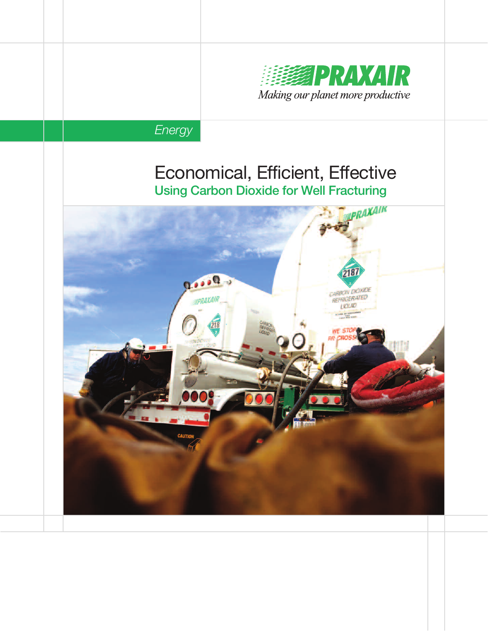

# **Energy**

# Economical, Efficient, Effective Using Carbon Dioxide for Well Fracturing

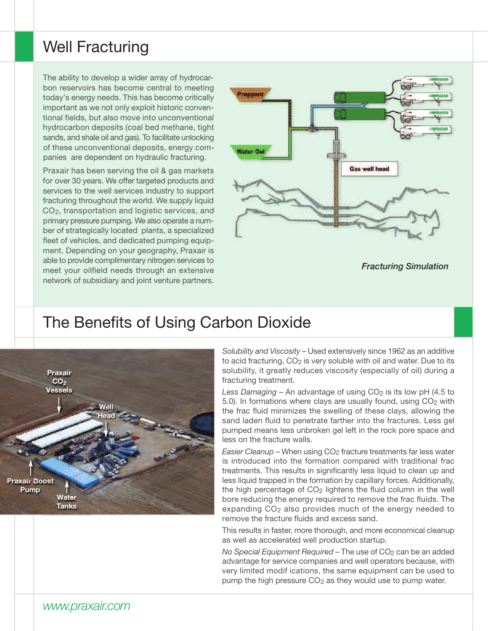# Well Fracturing

The ability to develop a wider array of hydrocarbon reservoirs has become central to meeting today's energy needs. This has become critically important as we not only exploit historic conventional fields, but also move into unconventional hydrocarbon deposits (coal bed methane, tight sands, and shale oil and gas). To facilitate unlocking of these unconventional deposits, energy companies are dependent on hydraulic fracturing.

Praxair has been serving the oil & gas markets for over 30 years. We offer targeted products and services to the well services industry to support fracturing throughout the world. We supply liquid CO2, transportation and logistic services, and primary pressure pumping. We also operate a number of strategically located plants, a specialized fleet of vehicles, and dedicated pumping equipment. Depending on your geography, Praxair is able to provide complimentary nitrogen services to meet your oilfield needs through an extensive network of subsidiary and joint venture partners.



Fracturing Simulation

### The Benefits of Using Carbon Dioxide



Solubility and Viscosity – Used extensively since 1962 as an additive to acid fracturing, CO<sub>2</sub> is very soluble with oil and water. Due to its solubility, it greatly reduces viscosity (especially of oil) during a fracturing treatment.

Less Damaging – An advantage of using  $CO<sub>2</sub>$  is its low pH (4.5 to 5.0). In formations where clays are usually found, using  $CO<sub>2</sub>$  with the frac fluid minimizes the swelling of these clays, allowing the sand laden fluid to penetrate farther into the fractures. Less gel pumped means less unbroken gel left in the rock pore space and less on the fracture walls.

Easier Cleanup - When using CO<sub>2</sub> fracture treatments far less water is introduced into the formation compared with traditional frac treatments. This results in significantly less liquid to clean up and less liquid trapped in the formation by capillary forces. Additionally, the high percentage of CO2 lightens the fluid column in the well bore reducing the energy required to remove the frac fluids. The expanding CO2 also provides much of the energy needed to remove the fracture fluids and excess sand.

This results in faster, more thorough, and more economical cleanup as well as accelerated well production startup.

No Special Equipment Required - The use of CO<sub>2</sub> can be an added advantage for service companies and well operators because, with very limited modif ications, the same equipment can be used to pump the high pressure CO<sub>2</sub> as they would use to pump water.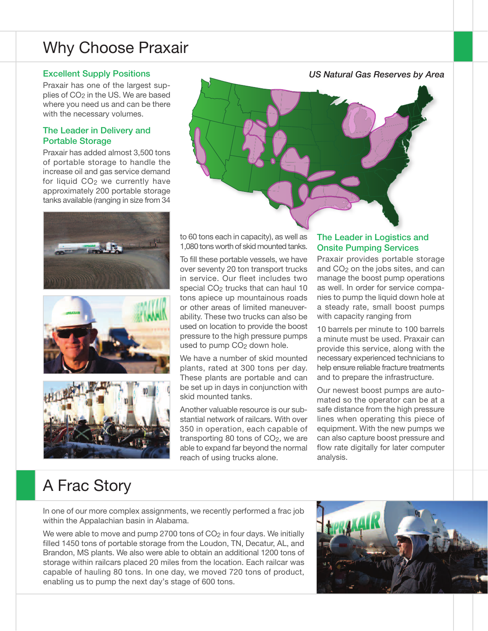# Why Choose Praxair

#### Excellent Supply Positions

Praxair has one of the largest supplies of CO2 in the US. We are based where you need us and can be there with the necessary volumes.

#### The Leader in Delivery and Portable Storage

Praxair has added almost 3,500 tons of portable storage to handle the increase oil and gas service demand for liquid CO<sub>2</sub> we currently have approximately 200 portable storage tanks available (ranging in size from 34









to 60 tons each in capacity), as well as 1,080 tons worth of skid mounted tanks.

To fill these portable vessels, we have over seventy 20 ton transport trucks in service. Our fleet includes two special CO<sub>2</sub> trucks that can haul 10 tons apiece up mountainous roads or other areas of limited maneuverability. These two trucks can also be used on location to provide the boost pressure to the high pressure pumps used to pump CO<sub>2</sub> down hole.

We have a number of skid mounted plants, rated at 300 tons per day. These plants are portable and can be set up in days in conjunction with skid mounted tanks.

Another valuable resource is our substantial network of railcars. With over 350 in operation, each capable of transporting 80 tons of CO2, we are able to expand far beyond the normal reach of using trucks alone.

#### The Leader in Logistics and Onsite Pumping Services

Praxair provides portable storage and CO2 on the jobs sites, and can manage the boost pump operations as well. In order for service companies to pump the liquid down hole at a steady rate, small boost pumps with capacity ranging from

10 barrels per minute to 100 barrels a minute must be used. Praxair can provide this service, along with the necessary experienced technicians to help ensure reliable fracture treatments and to prepare the infrastructure.

Our newest boost pumps are automated so the operator can be at a safe distance from the high pressure lines when operating this piece of equipment. With the new pumps we can also capture boost pressure and flow rate digitally for later computer analysis.

# A Frac Story

In one of our more complex assignments, we recently performed a frac job within the Appalachian basin in Alabama.

We were able to move and pump 2700 tons of  $CO<sub>2</sub>$  in four days. We initially filled 1450 tons of portable storage from the Loudon, TN, Decatur, AL, and Brandon, MS plants. We also were able to obtain an additional 1200 tons of storage within railcars placed 20 miles from the location. Each railcar was capable of hauling 80 tons. In one day, we moved 720 tons of product, enabling us to pump the next day's stage of 600 tons.